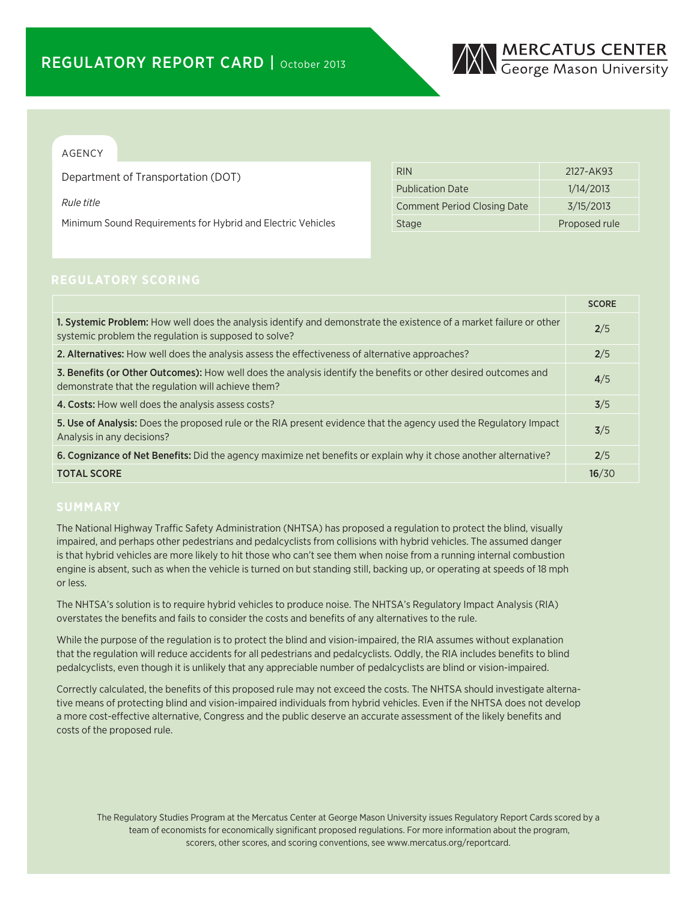

## AGENCY

Department of Transportation (DOT)

*Rule title*

Minimum Sound Requirements for Hybrid and Electric Vehicles

| <b>RIN</b>                         | 2127-AK93     |
|------------------------------------|---------------|
| <b>Publication Date</b>            | 1/14/2013     |
| <b>Comment Period Closing Date</b> | 3/15/2013     |
| <b>Stage</b>                       | Proposed rule |

|                                                                                                                                                                              | <b>SCORE</b> |
|------------------------------------------------------------------------------------------------------------------------------------------------------------------------------|--------------|
| 1. Systemic Problem: How well does the analysis identify and demonstrate the existence of a market failure or other<br>systemic problem the regulation is supposed to solve? | 2/5          |
| 2. Alternatives: How well does the analysis assess the effectiveness of alternative approaches?                                                                              | 2/5          |
| 3. Benefits (or Other Outcomes): How well does the analysis identify the benefits or other desired outcomes and<br>demonstrate that the regulation will achieve them?        | 4/5          |
| 4. Costs: How well does the analysis assess costs?                                                                                                                           | 3/5          |
| 5. Use of Analysis: Does the proposed rule or the RIA present evidence that the agency used the Regulatory Impact<br>Analysis in any decisions?                              | 3/5          |
| 6. Cognizance of Net Benefits: Did the agency maximize net benefits or explain why it chose another alternative?                                                             | 2/5          |
| <b>TOTAL SCORE</b>                                                                                                                                                           | 16/30        |

The National Highway Traffic Safety Administration (NHTSA) has proposed a regulation to protect the blind, visually impaired, and perhaps other pedestrians and pedalcyclists from collisions with hybrid vehicles. The assumed danger is that hybrid vehicles are more likely to hit those who can't see them when noise from a running internal combustion engine is absent, such as when the vehicle is turned on but standing still, backing up, or operating at speeds of 18 mph or less.

The NHTSA's solution is to require hybrid vehicles to produce noise. The NHTSA's Regulatory Impact Analysis (RIA) overstates the benefits and fails to consider the costs and benefits of any alternatives to the rule.

While the purpose of the regulation is to protect the blind and vision-impaired, the RIA assumes without explanation that the regulation will reduce accidents for all pedestrians and pedalcyclists. Oddly, the RIA includes benefits to blind pedalcyclists, even though it is unlikely that any appreciable number of pedalcyclists are blind or vision-impaired.

Correctly calculated, the benefits of this proposed rule may not exceed the costs. The NHTSA should investigate alternative means of protecting blind and vision-impaired individuals from hybrid vehicles. Even if the NHTSA does not develop a more cost-effective alternative, Congress and the public deserve an accurate assessment of the likely benefits and costs of the proposed rule.

The Regulatory Studies Program at the Mercatus Center at George Mason University issues Regulatory Report Cards scored by a team of economists for economically significant proposed regulations. For more information about the program, scorers, other scores, and scoring conventions, see www.mercatus.org/reportcard.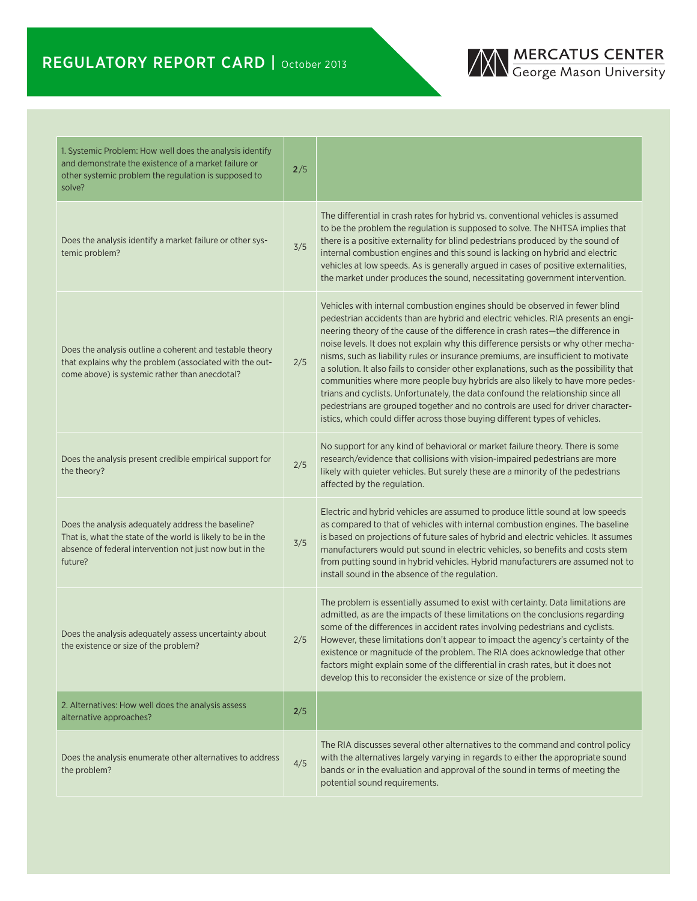# REGULATORY REPORT CARD | October 2013



| 1. Systemic Problem: How well does the analysis identify<br>and demonstrate the existence of a market failure or<br>other systemic problem the regulation is supposed to<br>solve?      | 2/5 |                                                                                                                                                                                                                                                                                                                                                                                                                                                                                                                                                                                                                                                                                                                                                                                                                                                                 |
|-----------------------------------------------------------------------------------------------------------------------------------------------------------------------------------------|-----|-----------------------------------------------------------------------------------------------------------------------------------------------------------------------------------------------------------------------------------------------------------------------------------------------------------------------------------------------------------------------------------------------------------------------------------------------------------------------------------------------------------------------------------------------------------------------------------------------------------------------------------------------------------------------------------------------------------------------------------------------------------------------------------------------------------------------------------------------------------------|
| Does the analysis identify a market failure or other sys-<br>temic problem?                                                                                                             | 3/5 | The differential in crash rates for hybrid vs. conventional vehicles is assumed<br>to be the problem the regulation is supposed to solve. The NHTSA implies that<br>there is a positive externality for blind pedestrians produced by the sound of<br>internal combustion engines and this sound is lacking on hybrid and electric<br>vehicles at low speeds. As is generally argued in cases of positive externalities,<br>the market under produces the sound, necessitating government intervention.                                                                                                                                                                                                                                                                                                                                                         |
| Does the analysis outline a coherent and testable theory<br>that explains why the problem (associated with the out-<br>come above) is systemic rather than anecdotal?                   | 2/5 | Vehicles with internal combustion engines should be observed in fewer blind<br>pedestrian accidents than are hybrid and electric vehicles. RIA presents an engi-<br>neering theory of the cause of the difference in crash rates-the difference in<br>noise levels. It does not explain why this difference persists or why other mecha-<br>nisms, such as liability rules or insurance premiums, are insufficient to motivate<br>a solution. It also fails to consider other explanations, such as the possibility that<br>communities where more people buy hybrids are also likely to have more pedes-<br>trians and cyclists. Unfortunately, the data confound the relationship since all<br>pedestrians are grouped together and no controls are used for driver character-<br>istics, which could differ across those buying different types of vehicles. |
| Does the analysis present credible empirical support for<br>the theory?                                                                                                                 | 2/5 | No support for any kind of behavioral or market failure theory. There is some<br>research/evidence that collisions with vision-impaired pedestrians are more<br>likely with quieter vehicles. But surely these are a minority of the pedestrians<br>affected by the regulation.                                                                                                                                                                                                                                                                                                                                                                                                                                                                                                                                                                                 |
| Does the analysis adequately address the baseline?<br>That is, what the state of the world is likely to be in the<br>absence of federal intervention not just now but in the<br>future? | 3/5 | Electric and hybrid vehicles are assumed to produce little sound at low speeds<br>as compared to that of vehicles with internal combustion engines. The baseline<br>is based on projections of future sales of hybrid and electric vehicles. It assumes<br>manufacturers would put sound in electric vehicles, so benefits and costs stem<br>from putting sound in hybrid vehicles. Hybrid manufacturers are assumed not to<br>install sound in the absence of the regulation.                                                                                                                                                                                                                                                                                                                                                                                  |
| Does the analysis adequately assess uncertainty about<br>the existence or size of the problem?                                                                                          | 2/5 | The problem is essentially assumed to exist with certainty. Data limitations are<br>admitted, as are the impacts of these limitations on the conclusions regarding<br>some of the differences in accident rates involving pedestrians and cyclists.<br>However, these limitations don't appear to impact the agency's certainty of the<br>existence or magnitude of the problem. The RIA does acknowledge that other<br>factors might explain some of the differential in crash rates, but it does not<br>develop this to reconsider the existence or size of the problem.                                                                                                                                                                                                                                                                                      |
| 2. Alternatives: How well does the analysis assess<br>alternative approaches?                                                                                                           | 2/5 |                                                                                                                                                                                                                                                                                                                                                                                                                                                                                                                                                                                                                                                                                                                                                                                                                                                                 |
| Does the analysis enumerate other alternatives to address<br>the problem?                                                                                                               | 4/5 | The RIA discusses several other alternatives to the command and control policy<br>with the alternatives largely varying in regards to either the appropriate sound<br>bands or in the evaluation and approval of the sound in terms of meeting the<br>potential sound requirements.                                                                                                                                                                                                                                                                                                                                                                                                                                                                                                                                                                             |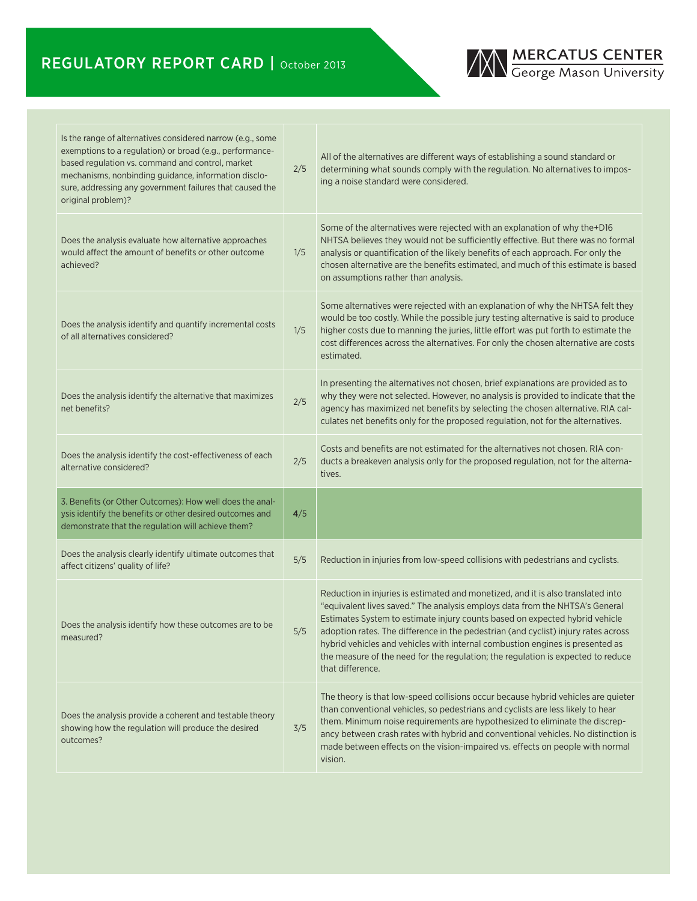# REGULATORY REPORT CARD | October 2013



| Is the range of alternatives considered narrow (e.g., some<br>exemptions to a regulation) or broad (e.g., performance-<br>based regulation vs. command and control, market<br>mechanisms, nonbinding guidance, information disclo-<br>sure, addressing any government failures that caused the<br>original problem)? | 2/5 | All of the alternatives are different ways of establishing a sound standard or<br>determining what sounds comply with the regulation. No alternatives to impos-<br>ing a noise standard were considered.                                                                                                                                                                                                                                                                                                                       |
|----------------------------------------------------------------------------------------------------------------------------------------------------------------------------------------------------------------------------------------------------------------------------------------------------------------------|-----|--------------------------------------------------------------------------------------------------------------------------------------------------------------------------------------------------------------------------------------------------------------------------------------------------------------------------------------------------------------------------------------------------------------------------------------------------------------------------------------------------------------------------------|
| Does the analysis evaluate how alternative approaches<br>would affect the amount of benefits or other outcome<br>achieved?                                                                                                                                                                                           | 1/5 | Some of the alternatives were rejected with an explanation of why the+D16<br>NHTSA believes they would not be sufficiently effective. But there was no formal<br>analysis or quantification of the likely benefits of each approach. For only the<br>chosen alternative are the benefits estimated, and much of this estimate is based<br>on assumptions rather than analysis.                                                                                                                                                 |
| Does the analysis identify and quantify incremental costs<br>of all alternatives considered?                                                                                                                                                                                                                         | 1/5 | Some alternatives were rejected with an explanation of why the NHTSA felt they<br>would be too costly. While the possible jury testing alternative is said to produce<br>higher costs due to manning the juries, little effort was put forth to estimate the<br>cost differences across the alternatives. For only the chosen alternative are costs<br>estimated.                                                                                                                                                              |
| Does the analysis identify the alternative that maximizes<br>net benefits?                                                                                                                                                                                                                                           | 2/5 | In presenting the alternatives not chosen, brief explanations are provided as to<br>why they were not selected. However, no analysis is provided to indicate that the<br>agency has maximized net benefits by selecting the chosen alternative. RIA cal-<br>culates net benefits only for the proposed regulation, not for the alternatives.                                                                                                                                                                                   |
| Does the analysis identify the cost-effectiveness of each<br>alternative considered?                                                                                                                                                                                                                                 | 2/5 | Costs and benefits are not estimated for the alternatives not chosen. RIA con-<br>ducts a breakeven analysis only for the proposed regulation, not for the alterna-<br>tives.                                                                                                                                                                                                                                                                                                                                                  |
| 3. Benefits (or Other Outcomes): How well does the anal-<br>ysis identify the benefits or other desired outcomes and<br>demonstrate that the regulation will achieve them?                                                                                                                                           | 4/5 |                                                                                                                                                                                                                                                                                                                                                                                                                                                                                                                                |
| Does the analysis clearly identify ultimate outcomes that<br>affect citizens' quality of life?                                                                                                                                                                                                                       | 5/5 | Reduction in injuries from low-speed collisions with pedestrians and cyclists.                                                                                                                                                                                                                                                                                                                                                                                                                                                 |
| Does the analysis identify how these outcomes are to be.<br>measured?                                                                                                                                                                                                                                                | 5/5 | Reduction in injuries is estimated and monetized, and it is also translated into<br>"equivalent lives saved." The analysis employs data from the NHTSA's General<br>Estimates System to estimate injury counts based on expected hybrid vehicle<br>adoption rates. The difference in the pedestrian (and cyclist) injury rates across<br>hybrid vehicles and vehicles with internal combustion engines is presented as<br>the measure of the need for the regulation; the regulation is expected to reduce<br>that difference. |
| Does the analysis provide a coherent and testable theory<br>showing how the regulation will produce the desired<br>outcomes?                                                                                                                                                                                         | 3/5 | The theory is that low-speed collisions occur because hybrid vehicles are quieter<br>than conventional vehicles, so pedestrians and cyclists are less likely to hear<br>them. Minimum noise requirements are hypothesized to eliminate the discrep-<br>ancy between crash rates with hybrid and conventional vehicles. No distinction is<br>made between effects on the vision-impaired vs. effects on people with normal<br>vision.                                                                                           |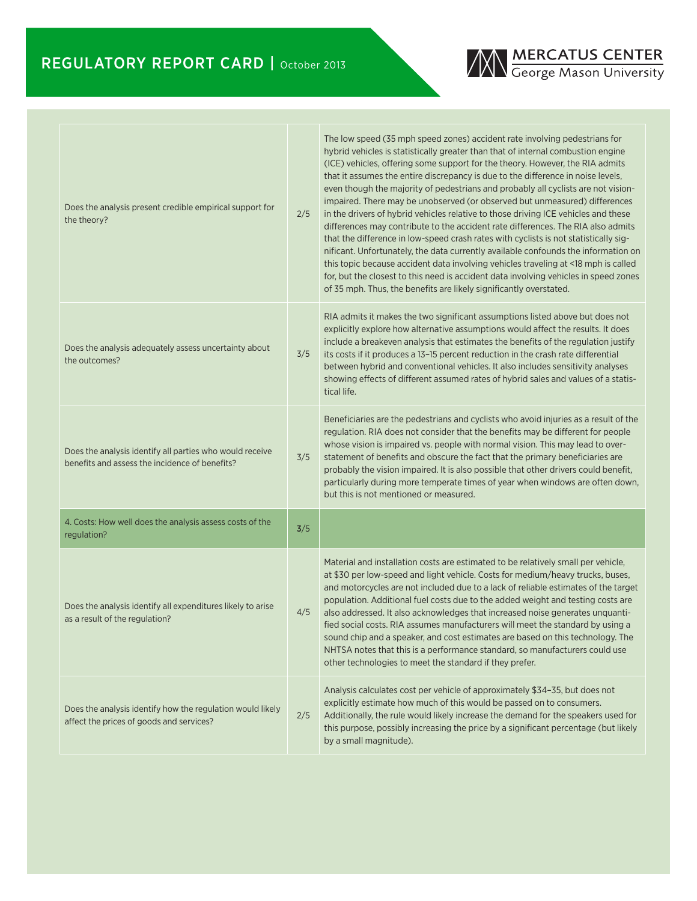

| Does the analysis present credible empirical support for<br>the theory?                                    | 2/5 | The low speed (35 mph speed zones) accident rate involving pedestrians for<br>hybrid vehicles is statistically greater than that of internal combustion engine<br>(ICE) vehicles, offering some support for the theory. However, the RIA admits<br>that it assumes the entire discrepancy is due to the difference in noise levels,<br>even though the majority of pedestrians and probably all cyclists are not vision-<br>impaired. There may be unobserved (or observed but unmeasured) differences<br>in the drivers of hybrid vehicles relative to those driving ICE vehicles and these<br>differences may contribute to the accident rate differences. The RIA also admits<br>that the difference in low-speed crash rates with cyclists is not statistically sig-<br>nificant. Unfortunately, the data currently available confounds the information on<br>this topic because accident data involving vehicles traveling at <18 mph is called<br>for, but the closest to this need is accident data involving vehicles in speed zones<br>of 35 mph. Thus, the benefits are likely significantly overstated. |
|------------------------------------------------------------------------------------------------------------|-----|--------------------------------------------------------------------------------------------------------------------------------------------------------------------------------------------------------------------------------------------------------------------------------------------------------------------------------------------------------------------------------------------------------------------------------------------------------------------------------------------------------------------------------------------------------------------------------------------------------------------------------------------------------------------------------------------------------------------------------------------------------------------------------------------------------------------------------------------------------------------------------------------------------------------------------------------------------------------------------------------------------------------------------------------------------------------------------------------------------------------|
| Does the analysis adequately assess uncertainty about<br>the outcomes?                                     | 3/5 | RIA admits it makes the two significant assumptions listed above but does not<br>explicitly explore how alternative assumptions would affect the results. It does<br>include a breakeven analysis that estimates the benefits of the regulation justify<br>its costs if it produces a 13-15 percent reduction in the crash rate differential<br>between hybrid and conventional vehicles. It also includes sensitivity analyses<br>showing effects of different assumed rates of hybrid sales and values of a statis-<br>tical life.                                                                                                                                                                                                                                                                                                                                                                                                                                                                                                                                                                               |
| Does the analysis identify all parties who would receive<br>benefits and assess the incidence of benefits? | 3/5 | Beneficiaries are the pedestrians and cyclists who avoid injuries as a result of the<br>regulation. RIA does not consider that the benefits may be different for people<br>whose vision is impaired vs. people with normal vision. This may lead to over-<br>statement of benefits and obscure the fact that the primary beneficiaries are<br>probably the vision impaired. It is also possible that other drivers could benefit,<br>particularly during more temperate times of year when windows are often down,<br>but this is not mentioned or measured.                                                                                                                                                                                                                                                                                                                                                                                                                                                                                                                                                       |
| 4. Costs: How well does the analysis assess costs of the<br>regulation?                                    | 3/5 |                                                                                                                                                                                                                                                                                                                                                                                                                                                                                                                                                                                                                                                                                                                                                                                                                                                                                                                                                                                                                                                                                                                    |
| Does the analysis identify all expenditures likely to arise<br>as a result of the regulation?              | 4/5 | Material and installation costs are estimated to be relatively small per vehicle,<br>at \$30 per low-speed and light vehicle. Costs for medium/heavy trucks, buses,<br>and motorcycles are not included due to a lack of reliable estimates of the target<br>population. Additional fuel costs due to the added weight and testing costs are<br>also addressed. It also acknowledges that increased noise generates unquanti-<br>fied social costs. RIA assumes manufacturers will meet the standard by using a<br>sound chip and a speaker, and cost estimates are based on this technology. The<br>NHTSA notes that this is a performance standard, so manufacturers could use<br>other technologies to meet the standard if they prefer.                                                                                                                                                                                                                                                                                                                                                                        |
| Does the analysis identify how the regulation would likely<br>affect the prices of goods and services?     | 2/5 | Analysis calculates cost per vehicle of approximately \$34-35, but does not<br>explicitly estimate how much of this would be passed on to consumers.<br>Additionally, the rule would likely increase the demand for the speakers used for<br>this purpose, possibly increasing the price by a significant percentage (but likely<br>by a small magnitude).                                                                                                                                                                                                                                                                                                                                                                                                                                                                                                                                                                                                                                                                                                                                                         |